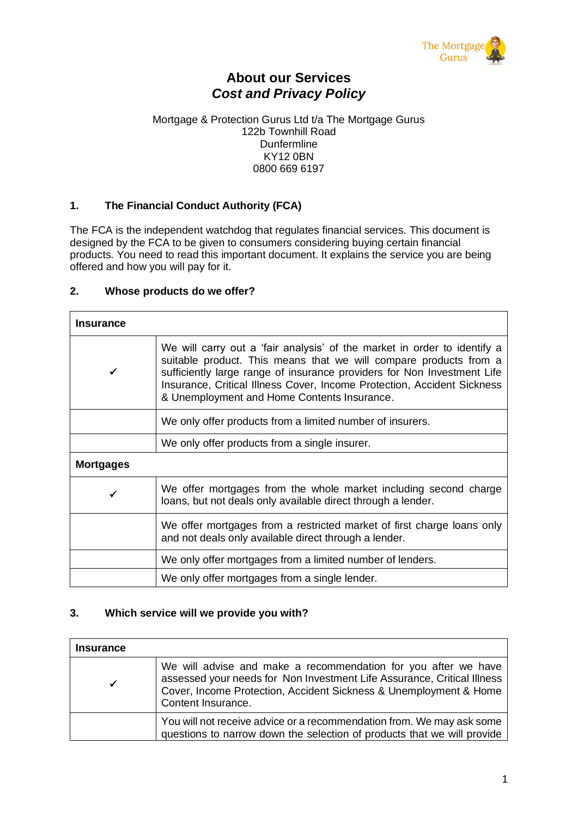

## **About our Services** *Cost and Privacy Policy*

#### Mortgage & Protection Gurus Ltd t/a The Mortgage Gurus 122b Townhill Road Dunfermline KY12 0BN 0800 669 6197

## **1. The Financial Conduct Authority (FCA)**

The FCA is the independent watchdog that regulates financial services. This document is designed by the FCA to be given to consumers considering buying certain financial products. You need to read this important document. It explains the service you are being offered and how you will pay for it.

## **2. Whose products do we offer?**

| <b>Insurance</b> |                                                                                                                                                                                                                                                                                                                                                    |  |  |  |  |  |
|------------------|----------------------------------------------------------------------------------------------------------------------------------------------------------------------------------------------------------------------------------------------------------------------------------------------------------------------------------------------------|--|--|--|--|--|
| ✓                | We will carry out a 'fair analysis' of the market in order to identify a<br>suitable product. This means that we will compare products from a<br>sufficiently large range of insurance providers for Non Investment Life<br>Insurance, Critical Illness Cover, Income Protection, Accident Sickness<br>& Unemployment and Home Contents Insurance. |  |  |  |  |  |
|                  | We only offer products from a limited number of insurers.                                                                                                                                                                                                                                                                                          |  |  |  |  |  |
|                  | We only offer products from a single insurer.                                                                                                                                                                                                                                                                                                      |  |  |  |  |  |
| <b>Mortgages</b> |                                                                                                                                                                                                                                                                                                                                                    |  |  |  |  |  |
|                  | We offer mortgages from the whole market including second charge<br>loans, but not deals only available direct through a lender.                                                                                                                                                                                                                   |  |  |  |  |  |
|                  | We offer mortgages from a restricted market of first charge loans only<br>and not deals only available direct through a lender.                                                                                                                                                                                                                    |  |  |  |  |  |
|                  | We only offer mortgages from a limited number of lenders.                                                                                                                                                                                                                                                                                          |  |  |  |  |  |
|                  | We only offer mortgages from a single lender.                                                                                                                                                                                                                                                                                                      |  |  |  |  |  |

## **3. Which service will we provide you with?**

| <b>Insurance</b> |                                                                                                                                                                                                                                      |
|------------------|--------------------------------------------------------------------------------------------------------------------------------------------------------------------------------------------------------------------------------------|
|                  | We will advise and make a recommendation for you after we have<br>assessed your needs for Non Investment Life Assurance, Critical Illness<br>Cover, Income Protection, Accident Sickness & Unemployment & Home<br>Content Insurance. |
|                  | You will not receive advice or a recommendation from. We may ask some<br>questions to narrow down the selection of products that we will provide                                                                                     |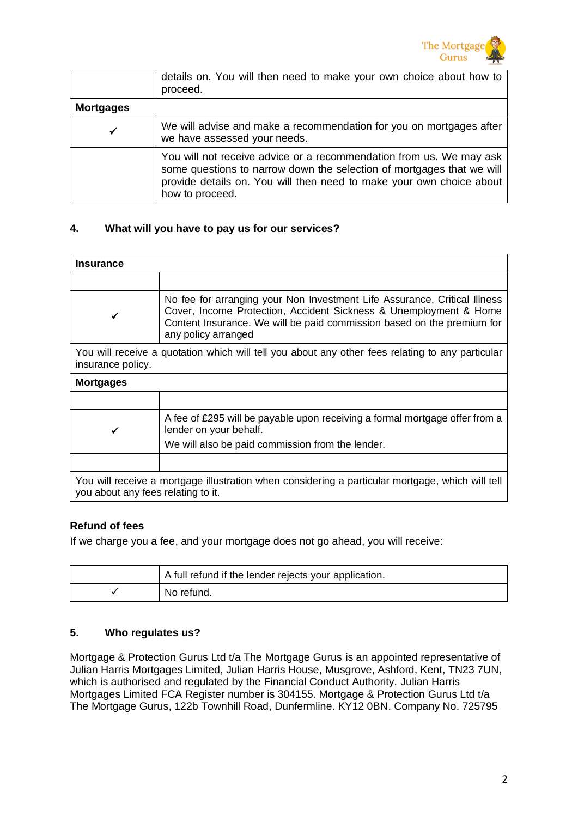

|                  | details on. You will then need to make your own choice about how to<br>proceed.                                                                                                                                                         |
|------------------|-----------------------------------------------------------------------------------------------------------------------------------------------------------------------------------------------------------------------------------------|
| <b>Mortgages</b> |                                                                                                                                                                                                                                         |
| ✔                | We will advise and make a recommendation for you on mortgages after<br>we have assessed your needs.                                                                                                                                     |
|                  | You will not receive advice or a recommendation from us. We may ask<br>some questions to narrow down the selection of mortgages that we will<br>provide details on. You will then need to make your own choice about<br>how to proceed. |

## **4. What will you have to pay us for our services?**

| <b>Insurance</b>                   |                                                                                                                                                                                                                                                 |  |  |  |  |
|------------------------------------|-------------------------------------------------------------------------------------------------------------------------------------------------------------------------------------------------------------------------------------------------|--|--|--|--|
|                                    |                                                                                                                                                                                                                                                 |  |  |  |  |
|                                    | No fee for arranging your Non Investment Life Assurance, Critical Illness<br>Cover, Income Protection, Accident Sickness & Unemployment & Home<br>Content Insurance. We will be paid commission based on the premium for<br>any policy arranged |  |  |  |  |
| insurance policy.                  | You will receive a quotation which will tell you about any other fees relating to any particular                                                                                                                                                |  |  |  |  |
| <b>Mortgages</b>                   |                                                                                                                                                                                                                                                 |  |  |  |  |
|                                    |                                                                                                                                                                                                                                                 |  |  |  |  |
|                                    | A fee of £295 will be payable upon receiving a formal mortgage offer from a<br>lender on your behalf.                                                                                                                                           |  |  |  |  |
|                                    | We will also be paid commission from the lender.                                                                                                                                                                                                |  |  |  |  |
|                                    |                                                                                                                                                                                                                                                 |  |  |  |  |
| you about any fees relating to it. | You will receive a mortgage illustration when considering a particular mortgage, which will tell                                                                                                                                                |  |  |  |  |

## **Refund of fees**

If we charge you a fee, and your mortgage does not go ahead, you will receive:

| A full refund if the lender rejects your application. |
|-------------------------------------------------------|
| No refund.                                            |

## **5. Who regulates us?**

Mortgage & Protection Gurus Ltd t/a The Mortgage Gurus is an appointed representative of Julian Harris Mortgages Limited, Julian Harris House, Musgrove, Ashford, Kent, TN23 7UN, which is authorised and regulated by the Financial Conduct Authority. Julian Harris Mortgages Limited FCA Register number is 304155. Mortgage & Protection Gurus Ltd t/a The Mortgage Gurus, 122b Townhill Road, Dunfermline. KY12 0BN. Company No. 725795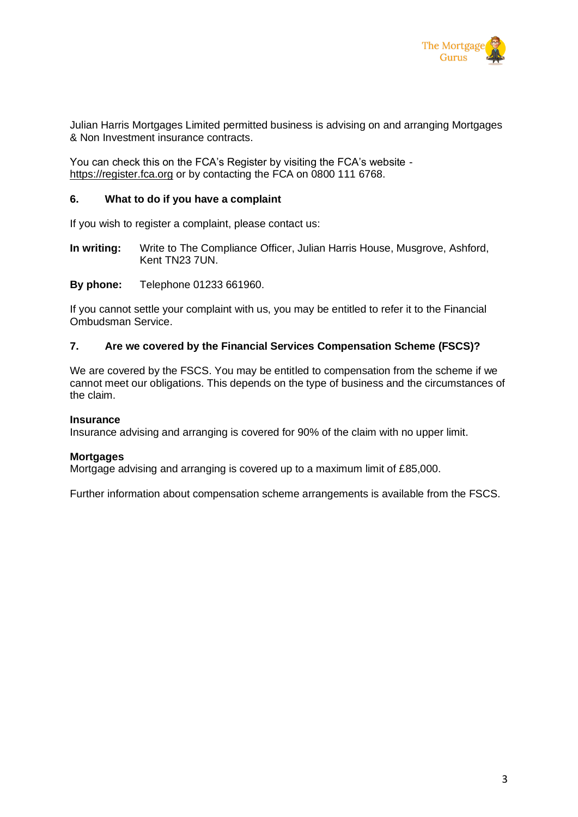

Julian Harris Mortgages Limited permitted business is advising on and arranging Mortgages & Non Investment insurance contracts.

You can check this on the FCA's Register by visiting the FCA's website https://register.fca.org or by contacting the FCA on 0800 111 6768.

#### **6. What to do if you have a complaint**

If you wish to register a complaint, please contact us:

**In writing:** Write to The Compliance Officer, Julian Harris House, Musgrove, Ashford, Kent TN23 7UN.

**By phone:** Telephone 01233 661960.

If you cannot settle your complaint with us, you may be entitled to refer it to the Financial Ombudsman Service.

#### **7. Are we covered by the Financial Services Compensation Scheme (FSCS)?**

We are covered by the FSCS. You may be entitled to compensation from the scheme if we cannot meet our obligations. This depends on the type of business and the circumstances of the claim.

#### **Insurance**

Insurance advising and arranging is covered for 90% of the claim with no upper limit.

#### **Mortgages**

Mortgage advising and arranging is covered up to a maximum limit of £85,000.

Further information about compensation scheme arrangements is available from the FSCS.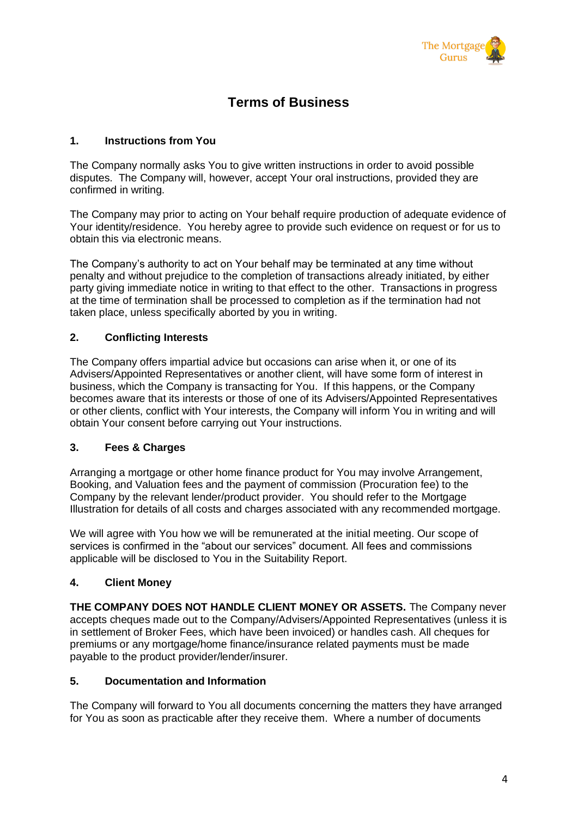

# **Terms of Business**

## **1. Instructions from You**

The Company normally asks You to give written instructions in order to avoid possible disputes. The Company will, however, accept Your oral instructions, provided they are confirmed in writing.

The Company may prior to acting on Your behalf require production of adequate evidence of Your identity/residence. You hereby agree to provide such evidence on request or for us to obtain this via electronic means.

The Company's authority to act on Your behalf may be terminated at any time without penalty and without prejudice to the completion of transactions already initiated, by either party giving immediate notice in writing to that effect to the other. Transactions in progress at the time of termination shall be processed to completion as if the termination had not taken place, unless specifically aborted by you in writing.

## **2. Conflicting Interests**

The Company offers impartial advice but occasions can arise when it, or one of its Advisers/Appointed Representatives or another client, will have some form of interest in business, which the Company is transacting for You. If this happens, or the Company becomes aware that its interests or those of one of its Advisers/Appointed Representatives or other clients, conflict with Your interests, the Company will inform You in writing and will obtain Your consent before carrying out Your instructions.

## **3. Fees & Charges**

Arranging a mortgage or other home finance product for You may involve Arrangement, Booking, and Valuation fees and the payment of commission (Procuration fee) to the Company by the relevant lender/product provider. You should refer to the Mortgage Illustration for details of all costs and charges associated with any recommended mortgage.

We will agree with You how we will be remunerated at the initial meeting. Our scope of services is confirmed in the "about our services" document. All fees and commissions applicable will be disclosed to You in the Suitability Report.

## **4. Client Money**

**THE COMPANY DOES NOT HANDLE CLIENT MONEY OR ASSETS.** The Company never accepts cheques made out to the Company/Advisers/Appointed Representatives (unless it is in settlement of Broker Fees, which have been invoiced) or handles cash. All cheques for premiums or any mortgage/home finance/insurance related payments must be made payable to the product provider/lender/insurer.

## **5. Documentation and Information**

The Company will forward to You all documents concerning the matters they have arranged for You as soon as practicable after they receive them. Where a number of documents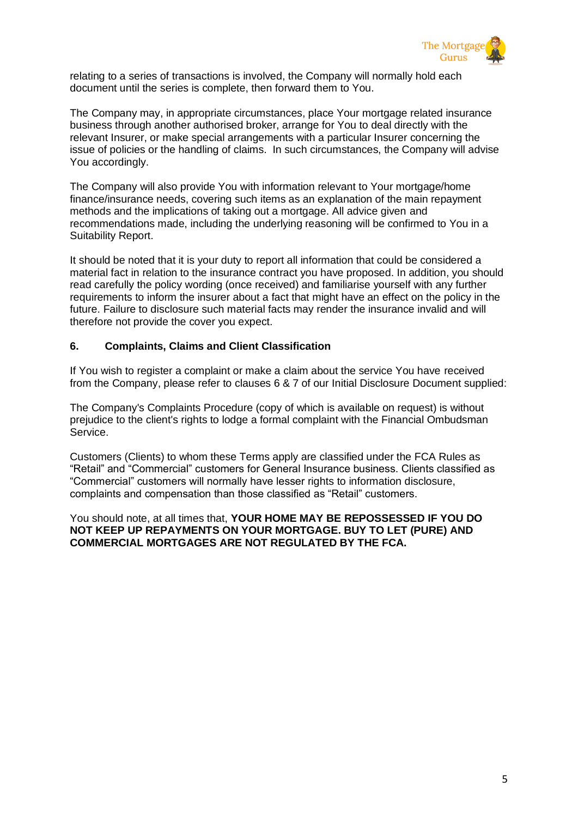

relating to a series of transactions is involved, the Company will normally hold each document until the series is complete, then forward them to You.

The Company may, in appropriate circumstances, place Your mortgage related insurance business through another authorised broker, arrange for You to deal directly with the relevant Insurer, or make special arrangements with a particular Insurer concerning the issue of policies or the handling of claims. In such circumstances, the Company will advise You accordingly.

The Company will also provide You with information relevant to Your mortgage/home finance/insurance needs, covering such items as an explanation of the main repayment methods and the implications of taking out a mortgage. All advice given and recommendations made, including the underlying reasoning will be confirmed to You in a Suitability Report.

It should be noted that it is your duty to report all information that could be considered a material fact in relation to the insurance contract you have proposed. In addition, you should read carefully the policy wording (once received) and familiarise yourself with any further requirements to inform the insurer about a fact that might have an effect on the policy in the future. Failure to disclosure such material facts may render the insurance invalid and will therefore not provide the cover you expect.

## **6. Complaints, Claims and Client Classification**

If You wish to register a complaint or make a claim about the service You have received from the Company, please refer to clauses 6 & 7 of our Initial Disclosure Document supplied:

The Company's Complaints Procedure (copy of which is available on request) is without prejudice to the client's rights to lodge a formal complaint with the Financial Ombudsman Service.

Customers (Clients) to whom these Terms apply are classified under the FCA Rules as "Retail" and "Commercial" customers for General Insurance business. Clients classified as "Commercial" customers will normally have lesser rights to information disclosure, complaints and compensation than those classified as "Retail" customers.

You should note, at all times that, **YOUR HOME MAY BE REPOSSESSED IF YOU DO NOT KEEP UP REPAYMENTS ON YOUR MORTGAGE. BUY TO LET (PURE) AND COMMERCIAL MORTGAGES ARE NOT REGULATED BY THE FCA.**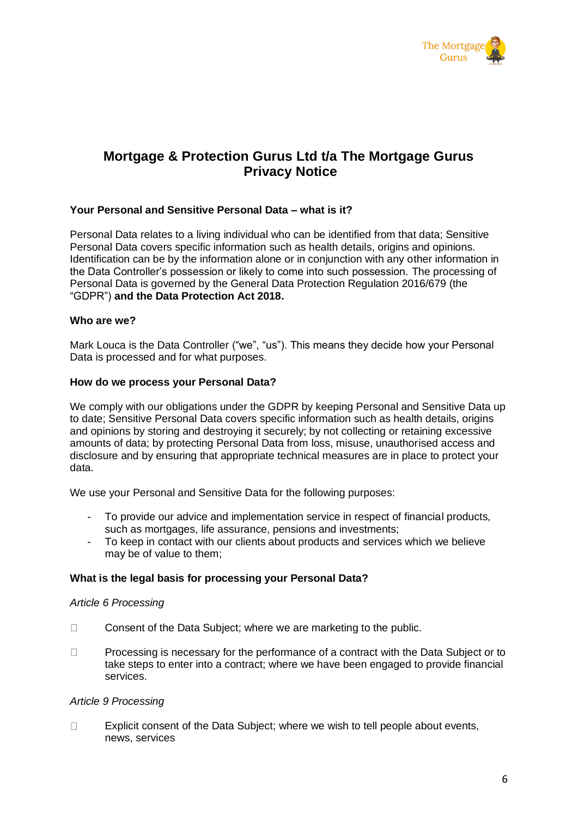

## **Mortgage & Protection Gurus Ltd t/a The Mortgage Gurus Privacy Notice**

#### **Your Personal and Sensitive Personal Data – what is it?**

Personal Data relates to a living individual who can be identified from that data; Sensitive Personal Data covers specific information such as health details, origins and opinions. Identification can be by the information alone or in conjunction with any other information in the Data Controller's possession or likely to come into such possession. The processing of Personal Data is governed by the General Data Protection Regulation 2016/679 (the "GDPR") **and the Data Protection Act 2018.**

#### **Who are we?**

Mark Louca is the Data Controller ("we", "us"). This means they decide how your Personal Data is processed and for what purposes.

#### **How do we process your Personal Data?**

We comply with our obligations under the GDPR by keeping Personal and Sensitive Data up to date; Sensitive Personal Data covers specific information such as health details, origins and opinions by storing and destroying it securely; by not collecting or retaining excessive amounts of data; by protecting Personal Data from loss, misuse, unauthorised access and disclosure and by ensuring that appropriate technical measures are in place to protect your data.

We use your Personal and Sensitive Data for the following purposes:

- To provide our advice and implementation service in respect of financial products, such as mortgages, life assurance, pensions and investments;
- To keep in contact with our clients about products and services which we believe may be of value to them;

#### **What is the legal basis for processing your Personal Data?**

#### *Article 6 Processing*

- $\Box$ Consent of the Data Subject; where we are marketing to the public.
- $\Box$ Processing is necessary for the performance of a contract with the Data Subject or to take steps to enter into a contract; where we have been engaged to provide financial services.

#### *Article 9 Processing*

 $\Box$ Explicit consent of the Data Subject; where we wish to tell people about events, news, services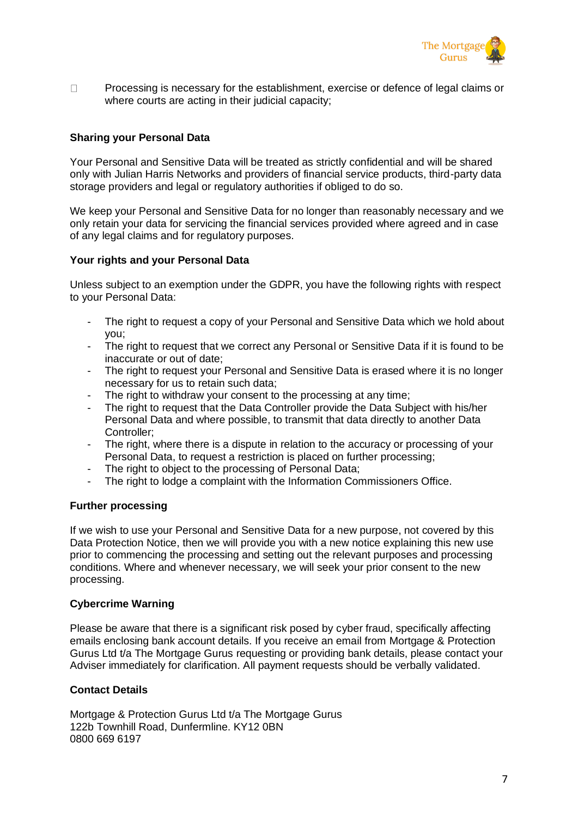

Processing is necessary for the establishment, exercise or defence of legal claims or  $\Box$ where courts are acting in their judicial capacity;

## **Sharing your Personal Data**

Your Personal and Sensitive Data will be treated as strictly confidential and will be shared only with Julian Harris Networks and providers of financial service products, third-party data storage providers and legal or regulatory authorities if obliged to do so.

We keep your Personal and Sensitive Data for no longer than reasonably necessary and we only retain your data for servicing the financial services provided where agreed and in case of any legal claims and for regulatory purposes.

#### **Your rights and your Personal Data**

Unless subject to an exemption under the GDPR, you have the following rights with respect to your Personal Data:

- The right to request a copy of your Personal and Sensitive Data which we hold about you;
- The right to request that we correct any Personal or Sensitive Data if it is found to be inaccurate or out of date;
- The right to request your Personal and Sensitive Data is erased where it is no longer necessary for us to retain such data;
- The right to withdraw your consent to the processing at any time;
- The right to request that the Data Controller provide the Data Subject with his/her Personal Data and where possible, to transmit that data directly to another Data Controller;
- The right, where there is a dispute in relation to the accuracy or processing of your Personal Data, to request a restriction is placed on further processing;
- The right to object to the processing of Personal Data;
- The right to lodge a complaint with the Information Commissioners Office.

## **Further processing**

If we wish to use your Personal and Sensitive Data for a new purpose, not covered by this Data Protection Notice, then we will provide you with a new notice explaining this new use prior to commencing the processing and setting out the relevant purposes and processing conditions. Where and whenever necessary, we will seek your prior consent to the new processing.

#### **Cybercrime Warning**

Please be aware that there is a significant risk posed by cyber fraud, specifically affecting emails enclosing bank account details. If you receive an email from Mortgage & Protection Gurus Ltd t/a The Mortgage Gurus requesting or providing bank details, please contact your Adviser immediately for clarification. All payment requests should be verbally validated.

## **Contact Details**

Mortgage & Protection Gurus Ltd t/a The Mortgage Gurus 122b Townhill Road, Dunfermline. KY12 0BN 0800 669 6197